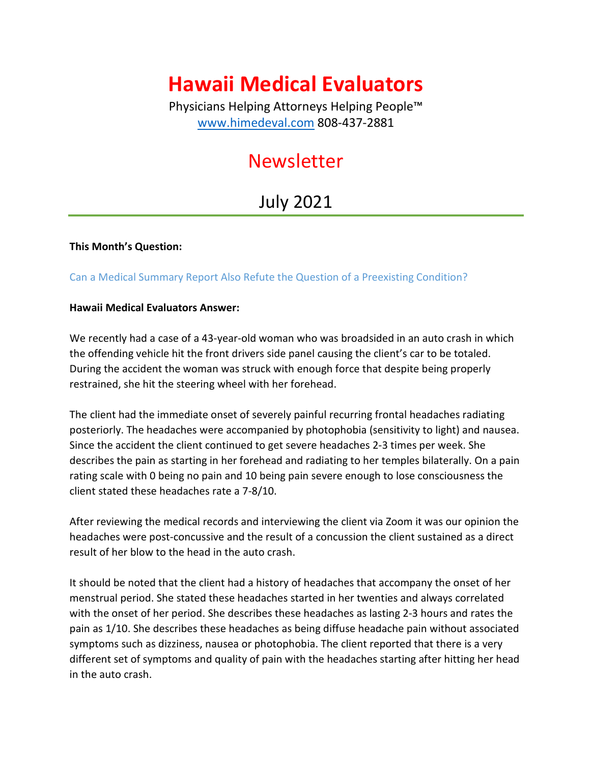# **Hawaii Medical Evaluators**

Physicians Helping Attorneys Helping People™ [www.himedeval.com](http://www.himedeval.com/) 808-437-2881

# Newsletter

# July 2021

#### **This Month's Question:**

### Can a Medical Summary Report Also Refute the Question of a Preexisting Condition?

#### **Hawaii Medical Evaluators Answer:**

We recently had a case of a 43-year-old woman who was broadsided in an auto crash in which the offending vehicle hit the front drivers side panel causing the client's car to be totaled. During the accident the woman was struck with enough force that despite being properly restrained, she hit the steering wheel with her forehead.

The client had the immediate onset of severely painful recurring frontal headaches radiating posteriorly. The headaches were accompanied by photophobia (sensitivity to light) and nausea. Since the accident the client continued to get severe headaches 2-3 times per week. She describes the pain as starting in her forehead and radiating to her temples bilaterally. On a pain rating scale with 0 being no pain and 10 being pain severe enough to lose consciousness the client stated these headaches rate a 7-8/10.

After reviewing the medical records and interviewing the client via Zoom it was our opinion the headaches were post-concussive and the result of a concussion the client sustained as a direct result of her blow to the head in the auto crash.

It should be noted that the client had a history of headaches that accompany the onset of her menstrual period. She stated these headaches started in her twenties and always correlated with the onset of her period. She describes these headaches as lasting 2-3 hours and rates the pain as 1/10. She describes these headaches as being diffuse headache pain without associated symptoms such as dizziness, nausea or photophobia. The client reported that there is a very different set of symptoms and quality of pain with the headaches starting after hitting her head in the auto crash.